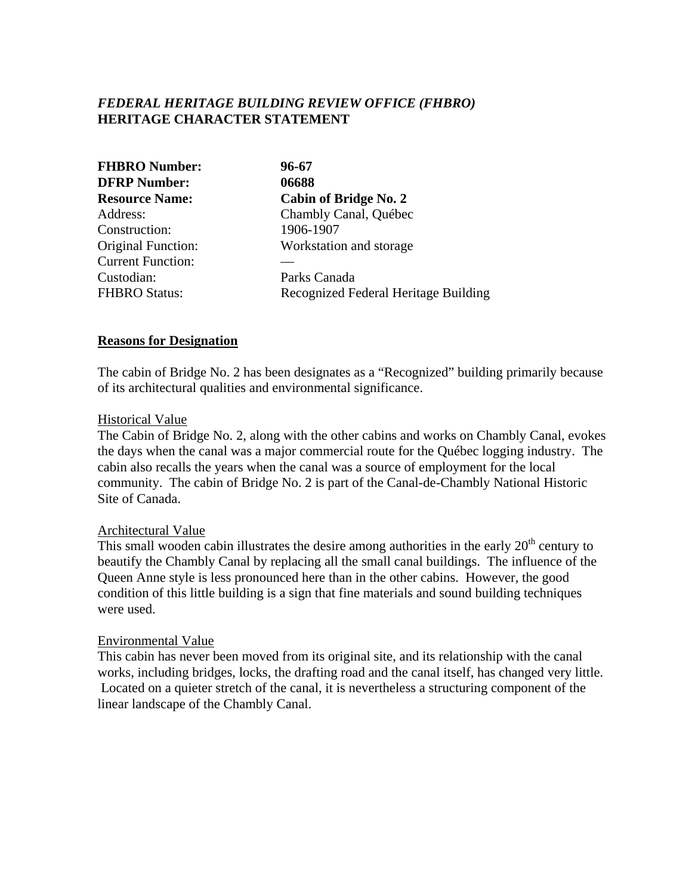# *FEDERAL HERITAGE BUILDING REVIEW OFFICE (FHBRO)* **HERITAGE CHARACTER STATEMENT**

| <b>FHBRO Number:</b><br><b>DFRP Number:</b> | 96-67<br>06688                       |
|---------------------------------------------|--------------------------------------|
|                                             |                                      |
| Address:                                    | Chambly Canal, Québec                |
| Construction:                               | 1906-1907                            |
| Original Function:                          | Workstation and storage              |
| <b>Current Function:</b>                    |                                      |
| Custodian:                                  | Parks Canada                         |
| <b>FHBRO Status:</b>                        | Recognized Federal Heritage Building |

#### **Reasons for Designation**

The cabin of Bridge No. 2 has been designates as a "Recognized" building primarily because of its architectural qualities and environmental significance.

#### Historical Value

The Cabin of Bridge No. 2, along with the other cabins and works on Chambly Canal, evokes the days when the canal was a major commercial route for the Québec logging industry. The cabin also recalls the years when the canal was a source of employment for the local community. The cabin of Bridge No. 2 is part of the Canal-de-Chambly National Historic Site of Canada.

#### Architectural Value

This small wooden cabin illustrates the desire among authorities in the early  $20<sup>th</sup>$  century to beautify the Chambly Canal by replacing all the small canal buildings. The influence of the Queen Anne style is less pronounced here than in the other cabins. However, the good condition of this little building is a sign that fine materials and sound building techniques were used.

### Environmental Value

This cabin has never been moved from its original site, and its relationship with the canal works, including bridges, locks, the drafting road and the canal itself, has changed very little. Located on a quieter stretch of the canal, it is nevertheless a structuring component of the linear landscape of the Chambly Canal.